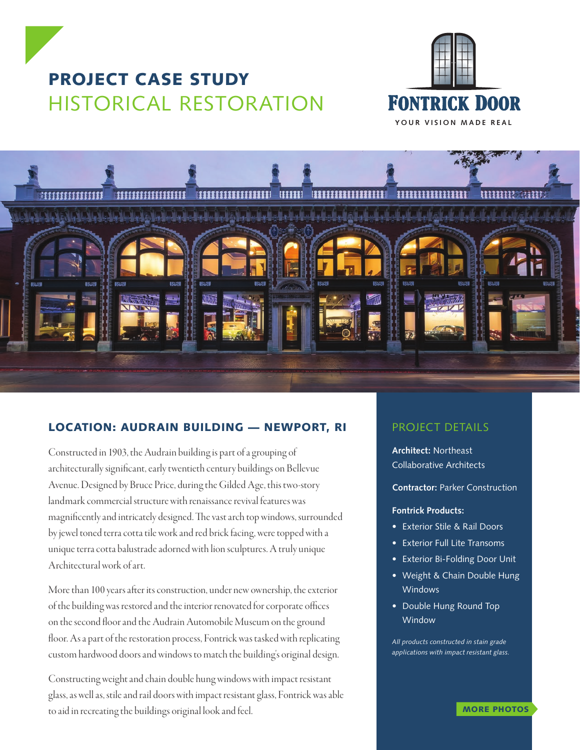





## LOCATION: AUDRAIN BUILDING — NEWPORT, RI

Constructed in 1903, the Audrain building is part of a grouping of architecturally significant, early twentieth century buildings on Bellevue Avenue. Designed by Bruce Price, during the Gilded Age, this two-story landmark commercial structure with renaissance revival features was magnificently and intricately designed. The vast arch top windows, surrounded by jewel toned terra cotta tile work and red brick facing, were topped with a unique terra cotta balustrade adorned with lion sculptures. A truly unique Architectural work of art.

More than 100 years after its construction, under new ownership, the exterior of the building was restored and the interior renovated for corporate offices on the second floor and the Audrain Automobile Museum on the ground floor. As a part of the restoration process, Fontrick was tasked with replicating custom hardwood doors and windows to match the building's original design.

Constructing weight and chain double hung windows with impact resistant glass, as well as, stile and rail doors with impact resistant glass, Fontrick was able to aid in recreating the buildings original look and feel.

## PROJECT DETAILS

**Architect:** Northeast Collaborative Architects

**Contractor:** Parker Construction

## **Fontrick Products:**

- Exterior Stile & Rail Doors
- Exterior Full Lite Transoms
- Exterior Bi-Folding Door Unit
- Weight & Chain Double Hung Windows
- Double Hung Round Top **Window**

*All products constructed in stain grade applications with impact resistant glass.*